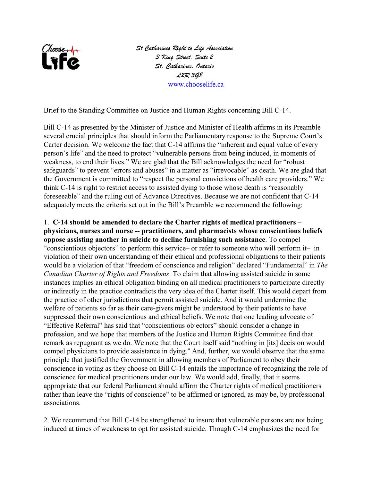

*St Catharines Right to Life Association 3 King Street, Suite 2 St. Catharines, Ontario L2R 3G8*  [www.chooselife.ca](http://www.chooselife.ca)

Brief to the Standing Committee on Justice and Human Rights concerning Bill C-14.

Bill C-14 as presented by the Minister of Justice and Minister of Health affirms in its Preamble several crucial principles that should inform the Parliamentary response to the Supreme Court's Carter decision. We welcome the fact that C-14 affirms the "inherent and equal value of every person's life" and the need to protect "vulnerable persons from being induced, in moments of weakness, to end their lives." We are glad that the Bill acknowledges the need for "robust safeguards" to prevent "errors and abuses" in a matter as "irrevocable" as death. We are glad that the Government is committed to "respect the personal convictions of health care providers." We think C-14 is right to restrict access to assisted dying to those whose death is "reasonably foreseeable" and the ruling out of Advance Directives. Because we are not confident that C-14 adequately meets the criteria set out in the Bill's Preamble we recommend the following:

1. **C-14 should be amended to declare the Charter rights of medical practitioners – physicians, nurses and nurse -- practitioners, and pharmacists whose conscientious beliefs oppose assisting another in suicide to decline furnishing such assistance**. To compel "conscientious objectors" to perform this service– or refer to someone who will perform it– in violation of their own understanding of their ethical and professional obligations to their patients would be a violation of that "freedom of conscience and religion" declared "Fundamental" in *The Canadian Charter of Rights and Freedoms*. To claim that allowing assisted suicide in some instances implies an ethical obligation binding on all medical practitioners to participate directly or indirectly in the practice contradicts the very idea of the Charter itself. This would depart from the practice of other jurisdictions that permit assisted suicide. And it would undermine the welfare of patients so far as their care-givers might be understood by their patients to have suppressed their own conscientious and ethical beliefs. We note that one leading advocate of "Effective Referral" has said that "conscientious objectors" should consider a change in profession, and we hope that members of the Justice and Human Rights Committee find that remark as repugnant as we do. We note that the Court itself said "nothing in [its] decision would compel physicians to provide assistance in dying." And, further, we would observe that the same principle that justified the Government in allowing members of Parliament to obey their conscience in voting as they choose on Bill C-14 entails the importance of recognizing the role of conscience for medical practitioners under our law. We would add, finally, that it seems appropriate that our federal Parliament should affirm the Charter rights of medical practitioners rather than leave the "rights of conscience" to be affirmed or ignored, as may be, by professional associations.

2. We recommend that Bill C-14 be strengthened to insure that vulnerable persons are not being induced at times of weakness to opt for assisted suicide. Though C-14 emphasizes the need for